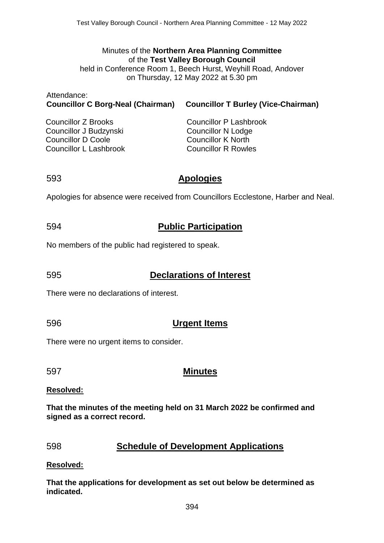#### Minutes of the **Northern Area Planning Committee** of the **Test Valley Borough Council** held in Conference Room 1, Beech Hurst, Weyhill Road, Andover

on Thursday, 12 May 2022 at 5.30 pm

| Attendance: |                                                                       |
|-------------|-----------------------------------------------------------------------|
|             | Councillor C Borg-Neal (Chairman) Councillor T Burley (Vice-Chairman) |

Councillor Z Brooks Councillor J Budzynski Councillor D Coole Councillor L Lashbrook Councillor P Lashbrook Councillor N Lodge Councillor K North Councillor R Rowles

### 593 **Apologies**

Apologies for absence were received from Councillors Ecclestone, Harber and Neal.

# 594 **Public Participation**

No members of the public had registered to speak.

# 595 **Declarations of Interest**

There were no declarations of interest.

## 596 **Urgent Items**

There were no urgent items to consider.

## 597 **Minutes**

### **Resolved:**

**That the minutes of the meeting held on 31 March 2022 be confirmed and signed as a correct record.**

## 598 **Schedule of Development Applications**

#### **Resolved:**

**That the applications for development as set out below be determined as indicated.**